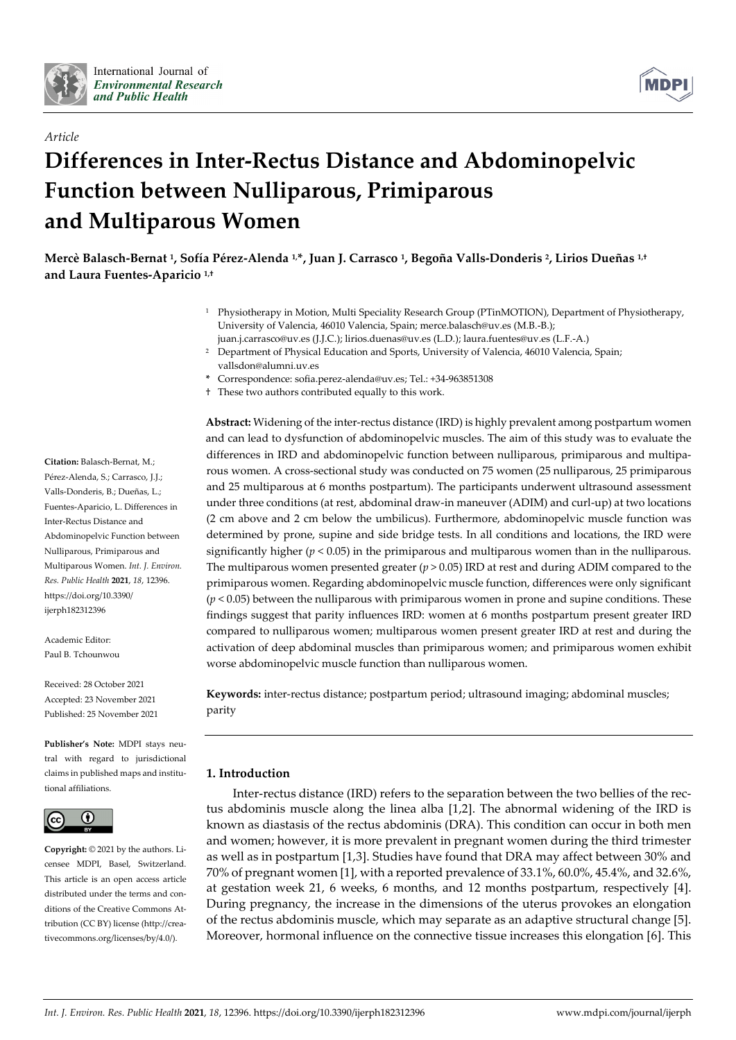

*Article*



# **Differences in Inter-Rectus Distance and Abdominopelvic Function between Nulliparous, Primiparous and Multiparous Women**

**Mercè Balasch-Bernat 1, Sofía Pérez-Alenda 1, \*, Juan J. Carrasco 1, Begoña Valls-Donderis 2, Lirios Dueñas 1,† and Laura Fuentes-Aparicio 1,†**

- <sup>1</sup> Physiotherapy in Motion, Multi Speciality Research Group (PTinMOTION), Department of Physiotherapy, University of Valencia, 46010 Valencia, Spain; merce.balasch@uv.es (M.B.-B.); juan.j.carrasco@uv.es (J.J.C.); lirios.duenas@uv.es (L.D.); laura.fuentes@uv.es (L.F.-A.)
- <sup>2</sup> Department of Physical Education and Sports, University of Valencia, 46010 Valencia, Spain; vallsdon@alumni.uv.es
- **\*** Correspondence: sofia.perez-alenda@uv.es; Tel.: +34-963851308
- † These two authors contributed equally to this work.

**Citation:** Balasch-Bernat, M.; Pérez-Alenda, S.; Carrasco, J.J.; Valls-Donderis, B.; Dueñas, L.; Fuentes-Aparicio, L. Differences in Inter-Rectus Distance and Abdominopelvic Function between Nulliparous, Primiparous and Multiparous Women. *Int. J. Environ. Res. Public Health* **2021**, *18*, 12396. https://doi.org/10.3390/ ijerph182312396

Academic Editor: Paul B. Tchounwou

Received: 28 October 2021 Accepted: 23 November 2021 Published: 25 November 2021

**Publisher's Note:** MDPI stays neutral with regard to jurisdictional claims in published maps and institutional affiliations.



**Copyright:** © 2021 by the authors. Licensee MDPI, Basel, Switzerland. This article is an open access article distributed under the terms and conditions of the Creative Commons Attribution (CC BY) license (http://creativecommons.org/licenses/by/4.0/).

**Abstract:** Widening of the inter-rectus distance (IRD) is highly prevalent among postpartum women and can lead to dysfunction of abdominopelvic muscles. The aim of this study was to evaluate the differences in IRD and abdominopelvic function between nulliparous, primiparous and multiparous women. A cross-sectional study was conducted on 75 women (25 nulliparous, 25 primiparous and 25 multiparous at 6 months postpartum). The participants underwent ultrasound assessment under three conditions (at rest, abdominal draw-in maneuver (ADIM) and curl-up) at two locations (2 cm above and 2 cm below the umbilicus). Furthermore, abdominopelvic muscle function was determined by prone, supine and side bridge tests. In all conditions and locations, the IRD were significantly higher ( $p < 0.05$ ) in the primiparous and multiparous women than in the nulliparous. The multiparous women presented greater  $(p > 0.05)$  IRD at rest and during ADIM compared to the primiparous women. Regarding abdominopelvic muscle function, differences were only significant (*p* < 0.05) between the nulliparous with primiparous women in prone and supine conditions. These findings suggest that parity influences IRD: women at 6 months postpartum present greater IRD compared to nulliparous women; multiparous women present greater IRD at rest and during the activation of deep abdominal muscles than primiparous women; and primiparous women exhibit worse abdominopelvic muscle function than nulliparous women.

**Keywords:** inter-rectus distance; postpartum period; ultrasound imaging; abdominal muscles; parity

# **1. Introduction**

Inter-rectus distance (IRD) refers to the separation between the two bellies of the rectus abdominis muscle along the linea alba [1,2]. The abnormal widening of the IRD is known as diastasis of the rectus abdominis (DRA). This condition can occur in both men and women; however, it is more prevalent in pregnant women during the third trimester as well as in postpartum [1,3]. Studies have found that DRA may affect between 30% and 70% of pregnant women [1], with a reported prevalence of 33.1%, 60.0%, 45.4%, and 32.6%, at gestation week 21, 6 weeks, 6 months, and 12 months postpartum, respectively [4]. During pregnancy, the increase in the dimensions of the uterus provokes an elongation of the rectus abdominis muscle, which may separate as an adaptive structural change [5]. Moreover, hormonal influence on the connective tissue increases this elongation [6]. This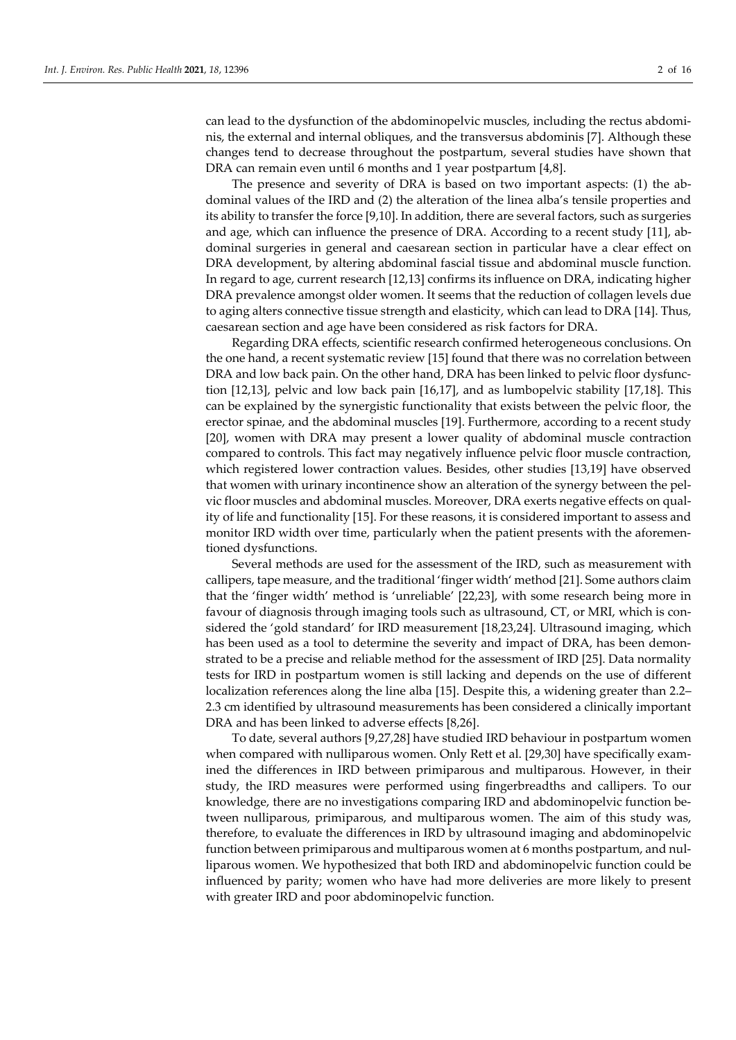can lead to the dysfunction of the abdominopelvic muscles, including the rectus abdominis, the external and internal obliques, and the transversus abdominis [7]. Although these changes tend to decrease throughout the postpartum, several studies have shown that DRA can remain even until 6 months and 1 year postpartum [4,8].

The presence and severity of DRA is based on two important aspects: (1) the abdominal values of the IRD and (2) the alteration of the linea alba's tensile properties and its ability to transfer the force [9,10]. In addition, there are several factors, such as surgeries and age, which can influence the presence of DRA. According to a recent study [11], abdominal surgeries in general and caesarean section in particular have a clear effect on DRA development, by altering abdominal fascial tissue and abdominal muscle function. In regard to age, current research [12,13] confirms its influence on DRA, indicating higher DRA prevalence amongst older women. It seems that the reduction of collagen levels due to aging alters connective tissue strength and elasticity, which can lead to DRA [14]. Thus, caesarean section and age have been considered as risk factors for DRA.

Regarding DRA effects, scientific research confirmed heterogeneous conclusions. On the one hand, a recent systematic review [15] found that there was no correlation between DRA and low back pain. On the other hand, DRA has been linked to pelvic floor dysfunction [12,13], pelvic and low back pain [16,17], and as lumbopelvic stability [17,18]. This can be explained by the synergistic functionality that exists between the pelvic floor, the erector spinae, and the abdominal muscles [19]. Furthermore, according to a recent study [20], women with DRA may present a lower quality of abdominal muscle contraction compared to controls. This fact may negatively influence pelvic floor muscle contraction, which registered lower contraction values. Besides, other studies [13,19] have observed that women with urinary incontinence show an alteration of the synergy between the pelvic floor muscles and abdominal muscles. Moreover, DRA exerts negative effects on quality of life and functionality [15]. For these reasons, it is considered important to assess and monitor IRD width over time, particularly when the patient presents with the aforementioned dysfunctions.

Several methods are used for the assessment of the IRD, such as measurement with callipers, tape measure, and the traditional 'finger width' method [21]. Some authors claim that the 'finger width' method is 'unreliable' [22,23], with some research being more in favour of diagnosis through imaging tools such as ultrasound, CT, or MRI, which is considered the 'gold standard' for IRD measurement [18,23,24]. Ultrasound imaging, which has been used as a tool to determine the severity and impact of DRA, has been demonstrated to be a precise and reliable method for the assessment of IRD [25]. Data normality tests for IRD in postpartum women is still lacking and depends on the use of different localization references along the line alba [15]. Despite this, a widening greater than 2.2– 2.3 cm identified by ultrasound measurements has been considered a clinically important DRA and has been linked to adverse effects [8,26].

To date, several authors [9,27,28] have studied IRD behaviour in postpartum women when compared with nulliparous women. Only Rett et al. [29,30] have specifically examined the differences in IRD between primiparous and multiparous. However, in their study, the IRD measures were performed using fingerbreadths and callipers. To our knowledge, there are no investigations comparing IRD and abdominopelvic function between nulliparous, primiparous, and multiparous women. The aim of this study was, therefore, to evaluate the differences in IRD by ultrasound imaging and abdominopelvic function between primiparous and multiparous women at 6 months postpartum, and nulliparous women. We hypothesized that both IRD and abdominopelvic function could be influenced by parity; women who have had more deliveries are more likely to present with greater IRD and poor abdominopelvic function.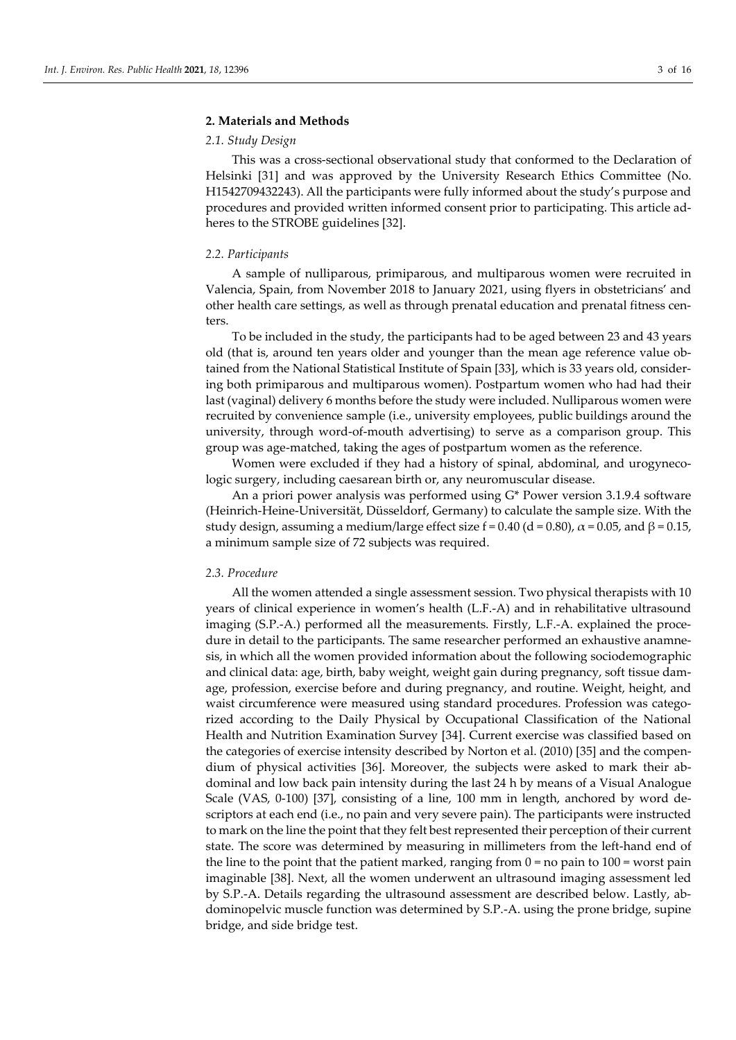#### **2. Materials and Methods**

#### *2.1. Study Design*

This was a cross-sectional observational study that conformed to the Declaration of Helsinki [31] and was approved by the University Research Ethics Committee (No. H1542709432243). All the participants were fully informed about the study's purpose and procedures and provided written informed consent prior to participating. This article adheres to the STROBE guidelines [32].

#### *2.2. Participants*

A sample of nulliparous, primiparous, and multiparous women were recruited in Valencia, Spain, from November 2018 to January 2021, using flyers in obstetricians' and other health care settings, as well as through prenatal education and prenatal fitness centers.

To be included in the study, the participants had to be aged between 23 and 43 years old (that is, around ten years older and younger than the mean age reference value obtained from the National Statistical Institute of Spain [33], which is 33 years old, considering both primiparous and multiparous women). Postpartum women who had had their last (vaginal) delivery 6 months before the study were included. Nulliparous women were recruited by convenience sample (i.e., university employees, public buildings around the university, through word-of-mouth advertising) to serve as a comparison group. This group was age-matched, taking the ages of postpartum women as the reference.

Women were excluded if they had a history of spinal, abdominal, and urogynecologic surgery, including caesarean birth or, any neuromuscular disease.

An a priori power analysis was performed using G\* Power version 3.1.9.4 software (Heinrich-Heine-Universität, Düsseldorf, Germany) to calculate the sample size. With the study design, assuming a medium/large effect size  $f = 0.40$  (d = 0.80),  $\alpha = 0.05$ , and  $\beta = 0.15$ , a minimum sample size of 72 subjects was required.

## *2.3. Procedure*

All the women attended a single assessment session. Two physical therapists with 10 years of clinical experience in women's health (L.F.-A) and in rehabilitative ultrasound imaging (S.P.-A.) performed all the measurements. Firstly, L.F.-A. explained the procedure in detail to the participants. The same researcher performed an exhaustive anamnesis, in which all the women provided information about the following sociodemographic and clinical data: age, birth, baby weight, weight gain during pregnancy, soft tissue damage, profession, exercise before and during pregnancy, and routine. Weight, height, and waist circumference were measured using standard procedures. Profession was categorized according to the Daily Physical by Occupational Classification of the National Health and Nutrition Examination Survey [34]. Current exercise was classified based on the categories of exercise intensity described by Norton et al. (2010) [35] and the compendium of physical activities [36]. Moreover, the subjects were asked to mark their abdominal and low back pain intensity during the last 24 h by means of a Visual Analogue Scale (VAS, 0-100) [37], consisting of a line, 100 mm in length, anchored by word descriptors at each end (i.e., no pain and very severe pain). The participants were instructed to mark on the line the point that they felt best represented their perception of their current state. The score was determined by measuring in millimeters from the left-hand end of the line to the point that the patient marked, ranging from  $0 =$  no pain to  $100 =$  worst pain imaginable [38]. Next, all the women underwent an ultrasound imaging assessment led by S.P.-A. Details regarding the ultrasound assessment are described below. Lastly, abdominopelvic muscle function was determined by S.P.-A. using the prone bridge, supine bridge, and side bridge test.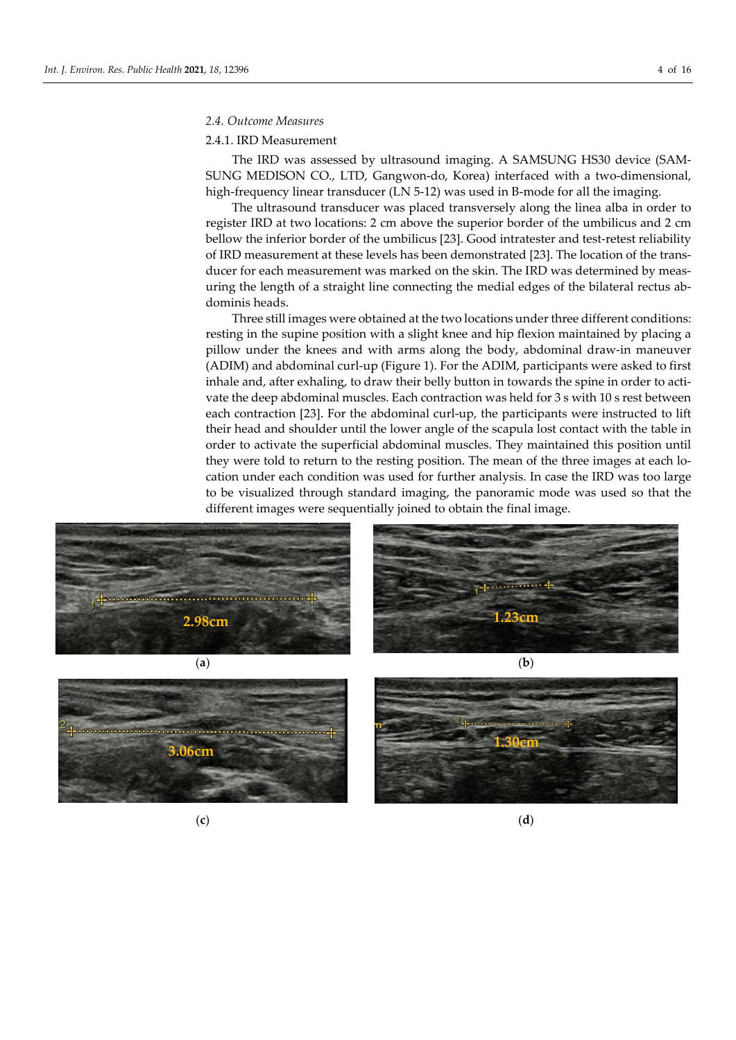#### *2.4. Outcome Measures*

#### 2.4.1. IRD Measurement

The IRD was assessed by ultrasound imaging. A SAMSUNG HS30 device (SAM-SUNG MEDISON CO., LTD, Gangwon-do, Korea) interfaced with a two-dimensional, high-frequency linear transducer (LN 5-12) was used in B-mode for all the imaging.

The ultrasound transducer was placed transversely along the linea alba in order to register IRD at two locations: 2 cm above the superior border of the umbilicus and 2 cm bellow the inferior border of the umbilicus [23]. Good intratester and test-retest reliability of IRD measurement at these levels has been demonstrated [23]. The location of the transducer for each measurement was marked on the skin. The IRD was determined by measuring the length of a straight line connecting the medial edges of the bilateral rectus abdominis heads.

Three still images were obtained at the two locations under three different conditions: resting in the supine position with a slight knee and hip flexion maintained by placing a pillow under the knees and with arms along the body, abdominal draw-in maneuver (ADIM) and abdominal curl-up (Figure 1). For the ADIM, participants were asked to first inhale and, after exhaling, to draw their belly button in towards the spine in order to activate the deep abdominal muscles. Each contraction was held for 3 s with 10 s rest between each contraction [23]. For the abdominal curl-up, the participants were instructed to lift their head and shoulder until the lower angle of the scapula lost contact with the table in order to activate the superficial abdominal muscles. They maintained this position until they were told to return to the resting position. The mean of the three images at each location under each condition was used for further analysis. In case the IRD was too large to be visualized through standard imaging, the panoramic mode was used so that the different images were sequentially joined to obtain the final image.









(**c**) (**d**)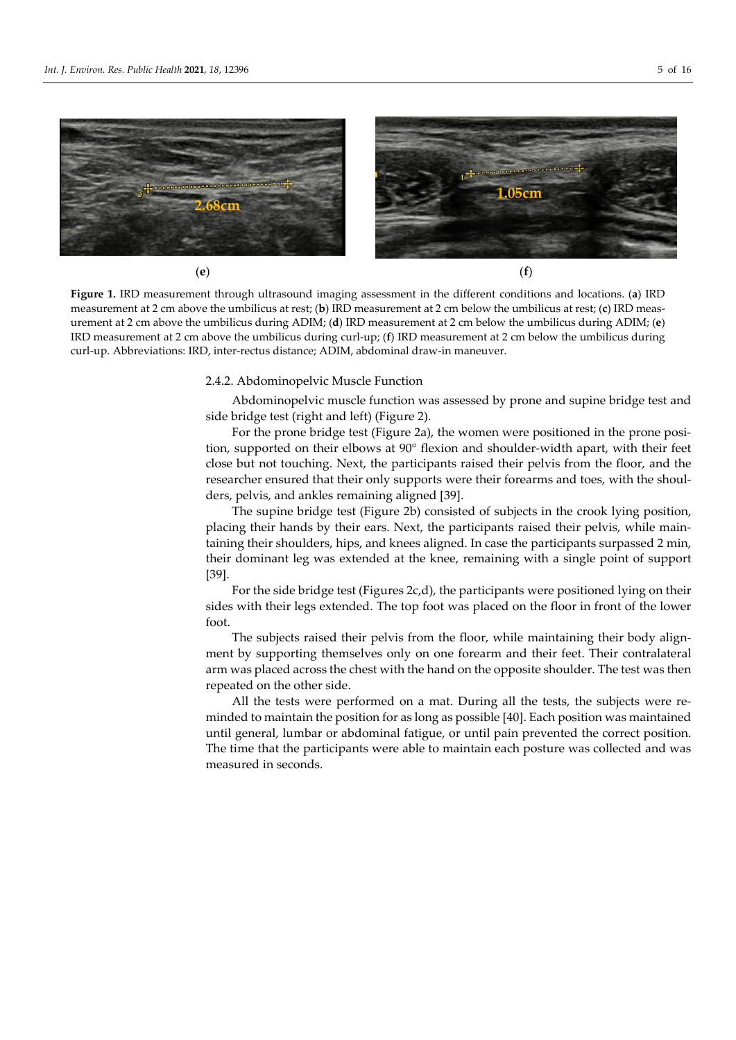

**Figure 1.** IRD measurement through ultrasound imaging assessment in the different conditions and locations. (**a**) IRD measurement at 2 cm above the umbilicus at rest; (**b**) IRD measurement at 2 cm below the umbilicus at rest; (**c**) IRD measurement at 2 cm above the umbilicus during ADIM; (**d**) IRD measurement at 2 cm below the umbilicus during ADIM; (**e**) IRD measurement at 2 cm above the umbilicus during curl-up; (**f**) IRD measurement at 2 cm below the umbilicus during curl-up. Abbreviations: IRD, inter-rectus distance; ADIM, abdominal draw-in maneuver.

#### 2.4.2. Abdominopelvic Muscle Function

Abdominopelvic muscle function was assessed by prone and supine bridge test and side bridge test (right and left) (Figure 2).

For the prone bridge test (Figure 2a), the women were positioned in the prone position, supported on their elbows at 90° flexion and shoulder-width apart, with their feet close but not touching. Next, the participants raised their pelvis from the floor, and the researcher ensured that their only supports were their forearms and toes, with the shoulders, pelvis, and ankles remaining aligned [39].

The supine bridge test (Figure 2b) consisted of subjects in the crook lying position, placing their hands by their ears. Next, the participants raised their pelvis, while maintaining their shoulders, hips, and knees aligned. In case the participants surpassed 2 min, their dominant leg was extended at the knee, remaining with a single point of support [39].

For the side bridge test (Figures 2c,d), the participants were positioned lying on their sides with their legs extended. The top foot was placed on the floor in front of the lower foot.

The subjects raised their pelvis from the floor, while maintaining their body alignment by supporting themselves only on one forearm and their feet. Their contralateral arm was placed across the chest with the hand on the opposite shoulder. The test was then repeated on the other side.

All the tests were performed on a mat. During all the tests, the subjects were reminded to maintain the position for as long as possible [40]. Each position was maintained until general, lumbar or abdominal fatigue, or until pain prevented the correct position. The time that the participants were able to maintain each posture was collected and was measured in seconds.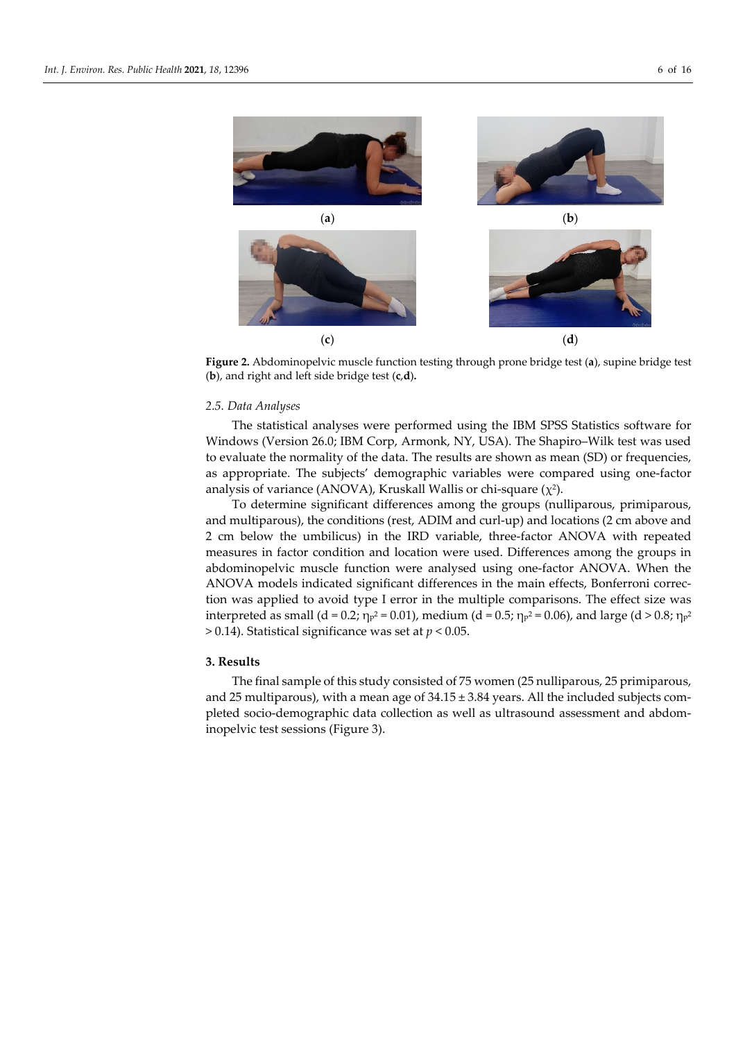

**Figure 2.** Abdominopelvic muscle function testing through prone bridge test (**a**), supine bridge test (**b**), and right and left side bridge test (**c**,**d**)**.**

#### *2.5. Data Analyses*

The statistical analyses were performed using the IBM SPSS Statistics software for Windows (Version 26.0; IBM Corp, Armonk, NY, USA). The Shapiro–Wilk test was used to evaluate the normality of the data. The results are shown as mean (SD) or frequencies, as appropriate. The subjects' demographic variables were compared using one-factor analysis of variance (ANOVA), Kruskall Wallis or chi-square  $(\chi^2)$ .

To determine significant differences among the groups (nulliparous, primiparous, and multiparous), the conditions (rest, ADIM and curl-up) and locations (2 cm above and 2 cm below the umbilicus) in the IRD variable, three-factor ANOVA with repeated measures in factor condition and location were used. Differences among the groups in abdominopelvic muscle function were analysed using one-factor ANOVA. When the ANOVA models indicated significant differences in the main effects, Bonferroni correction was applied to avoid type I error in the multiple comparisons. The effect size was interpreted as small (d = 0.2;  $\eta_p^2 = 0.01$ ), medium (d = 0.5;  $\eta_p^2 = 0.06$ ), and large (d > 0.8;  $\eta_p^2$ > 0.14). Statistical significance was set at *p* < 0.05.

### **3. Results**

The final sample of this study consisted of 75 women (25 nulliparous, 25 primiparous, and 25 multiparous), with a mean age of  $34.15 \pm 3.84$  years. All the included subjects completed socio-demographic data collection as well as ultrasound assessment and abdominopelvic test sessions (Figure 3).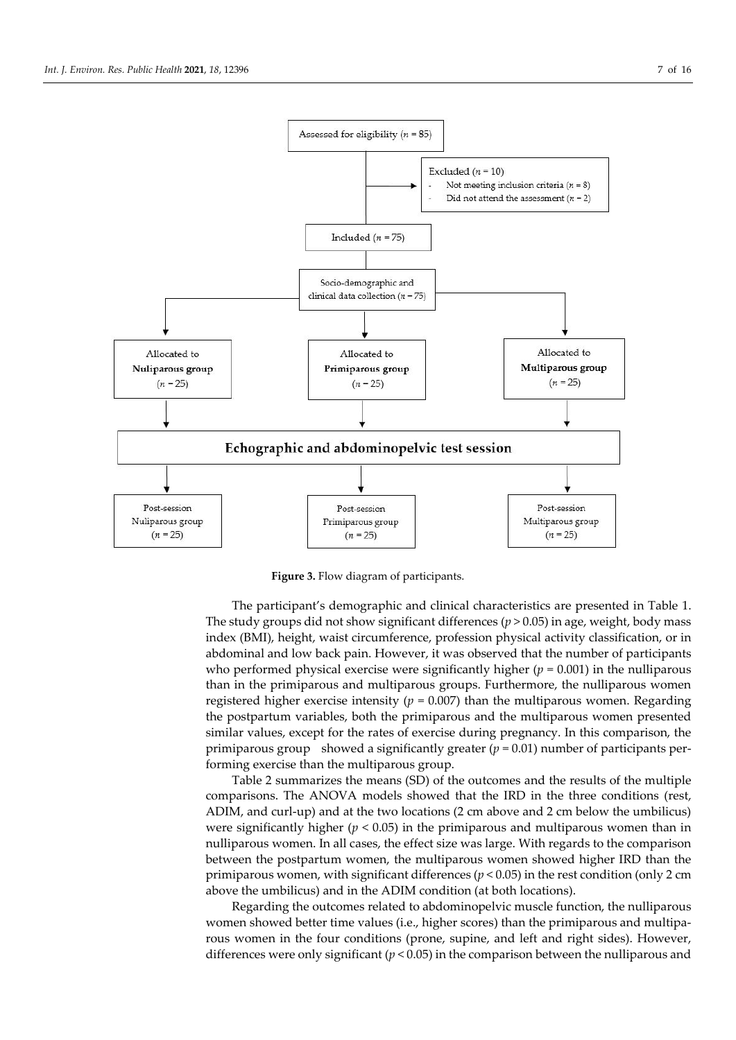

**Figure 3.** Flow diagram of participants.

The participant's demographic and clinical characteristics are presented in Table 1. The study groups did not show significant differences  $(p > 0.05)$  in age, weight, body mass index (BMI), height, waist circumference, profession physical activity classification, or in abdominal and low back pain. However, it was observed that the number of participants who performed physical exercise were significantly higher (*p* = 0.001) in the nulliparous than in the primiparous and multiparous groups. Furthermore, the nulliparous women registered higher exercise intensity ( $p = 0.007$ ) than the multiparous women. Regarding the postpartum variables, both the primiparous and the multiparous women presented similar values, except for the rates of exercise during pregnancy. In this comparison, the primiparous group showed a significantly greater (*p* = 0.01) number of participants performing exercise than the multiparous group.

Table 2 summarizes the means (SD) of the outcomes and the results of the multiple comparisons. The ANOVA models showed that the IRD in the three conditions (rest, ADIM, and curl-up) and at the two locations (2 cm above and 2 cm below the umbilicus) were significantly higher ( $p < 0.05$ ) in the primiparous and multiparous women than in nulliparous women. In all cases, the effect size was large. With regards to the comparison between the postpartum women, the multiparous women showed higher IRD than the primiparous women, with significant differences (*p* < 0.05) in the rest condition (only 2 cm above the umbilicus) and in the ADIM condition (at both locations).

Regarding the outcomes related to abdominopelvic muscle function, the nulliparous women showed better time values (i.e., higher scores) than the primiparous and multiparous women in the four conditions (prone, supine, and left and right sides). However, differences were only significant  $(p < 0.05)$  in the comparison between the nulliparous and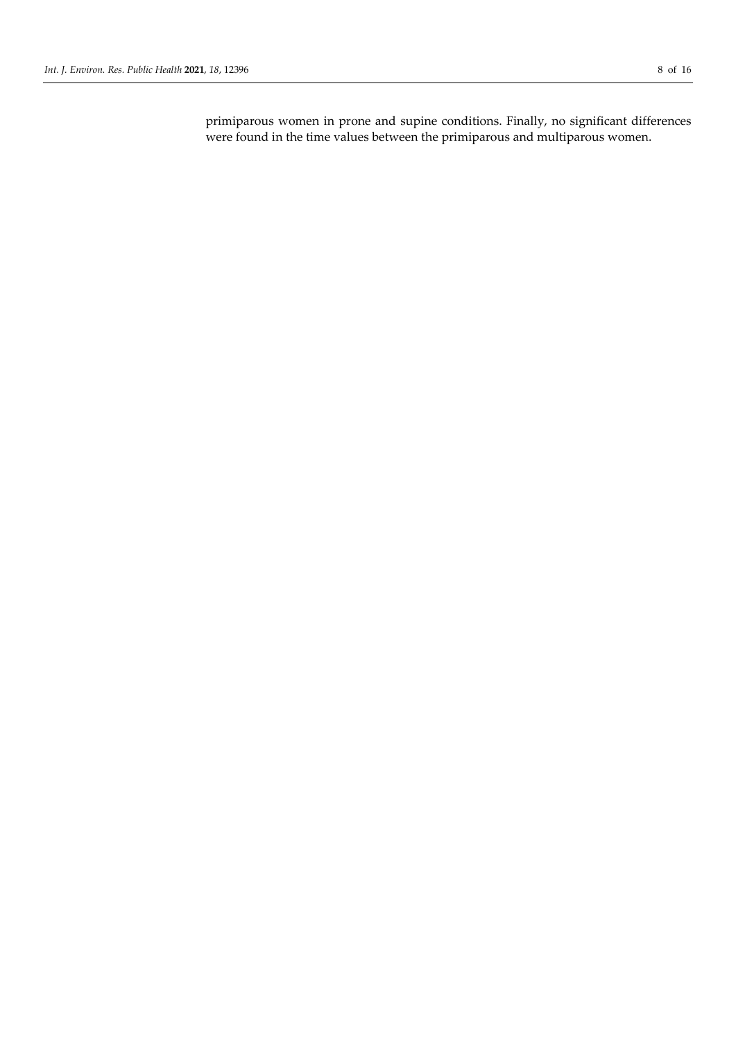primiparous women in prone and supine conditions. Finally, no significant differences were found in the time values between the primiparous and multiparous women.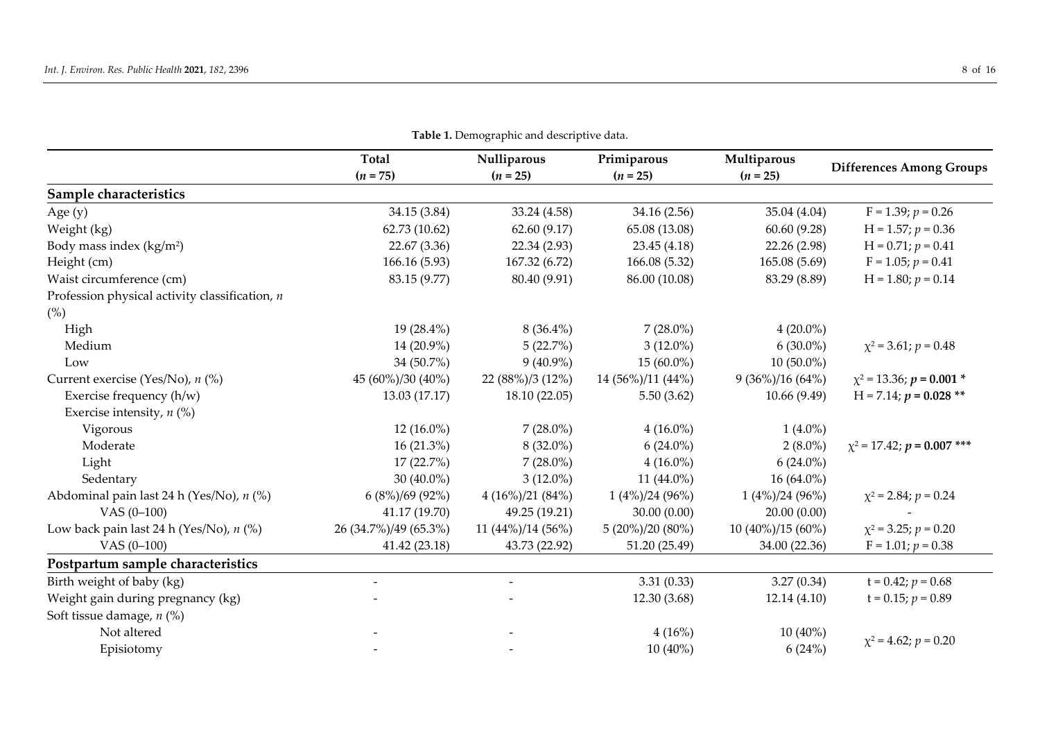|                                                  |                       | 20 21 B chroghup ne and descriptive and |                           |                           |                                   |
|--------------------------------------------------|-----------------------|-----------------------------------------|---------------------------|---------------------------|-----------------------------------|
|                                                  | Total<br>$(n = 75)$   | Nulliparous<br>$(n = 25)$               | Primiparous<br>$(n = 25)$ | Multiparous<br>$(n = 25)$ | <b>Differences Among Groups</b>   |
| Sample characteristics                           |                       |                                         |                           |                           |                                   |
| Age $(y)$                                        | 34.15 (3.84)          | 33.24 (4.58)                            | 34.16 (2.56)              | 35.04 (4.04)              | $F = 1.39; p = 0.26$              |
| Weight (kg)                                      | 62.73 (10.62)         | 62.60(9.17)                             | 65.08 (13.08)             | 60.60(9.28)               | $H = 1.57; p = 0.36$              |
| Body mass index (kg/m <sup>2</sup> )             | 22.67 (3.36)          | 22.34 (2.93)                            | 23.45 (4.18)              | 22.26 (2.98)              | $H = 0.71; p = 0.41$              |
| Height (cm)                                      | 166.16 (5.93)         | 167.32 (6.72)                           | 166.08 (5.32)             | 165.08 (5.69)             | $F = 1.05; p = 0.41$              |
| Waist circumference (cm)                         | 83.15 (9.77)          | 80.40 (9.91)                            | 86.00 (10.08)             | 83.29 (8.89)              | $H = 1.80; p = 0.14$              |
| Profession physical activity classification, $n$ |                       |                                         |                           |                           |                                   |
| (%)                                              |                       |                                         |                           |                           |                                   |
| High                                             | 19 (28.4%)            | $8(36.4\%)$                             | $7(28.0\%)$               | $4(20.0\%)$               |                                   |
| Medium                                           | 14 (20.9%)            | 5(22.7%)                                | $3(12.0\%)$               | $6(30.0\%)$               | $\chi^2$ = 3.61; $p = 0.48$       |
| Low                                              | 34 (50.7%)            | $9(40.9\%)$                             | $15(60.0\%)$              | $10(50.0\%)$              |                                   |
| Current exercise (Yes/No), n (%)                 | 45 (60%)/30 (40%)     | 22 (88%)/3 (12%)                        | 14 (56%)/11 (44%)         | $9(36\%)/16(64\%)$        | $\chi^2$ = 13.36; $p = 0.001$ *   |
| Exercise frequency (h/w)                         | 13.03 (17.17)         | 18.10(22.05)                            | 5.50(3.62)                | 10.66(9.49)               | $H = 7.14; p = 0.028$ **          |
| Exercise intensity, $n$ (%)                      |                       |                                         |                           |                           |                                   |
| Vigorous                                         | $12(16.0\%)$          | $7(28.0\%)$                             | $4(16.0\%)$               | $1(4.0\%)$                |                                   |
| Moderate                                         | $16(21.3\%)$          | $8(32.0\%)$                             | $6(24.0\%)$               | $2(8.0\%)$                | $\chi^2$ = 17.42; $p$ = 0.007 *** |
| Light                                            | 17 (22.7%)            | $7(28.0\%)$                             | $4(16.0\%)$               | $6(24.0\%)$               |                                   |
| Sedentary                                        | 30 $(40.0\%)$         | $3(12.0\%)$                             | 11 (44.0%)                | $16(64.0\%)$              |                                   |
| Abdominal pain last 24 h (Yes/No), n (%)         | $6(8\%)/69(92\%)$     | $4(16\%)/21(84\%)$                      | $1(4\%)/24(96\%)$         | $1(4\%)/24(96\%)$         | $\chi^2$ = 2.84; $p = 0.24$       |
| VAS $(0-100)$                                    | 41.17 (19.70)         | 49.25 (19.21)                           | 30.00(0.00)               | 20.00(0.00)               |                                   |
| Low back pain last 24 h (Yes/No), $n$ (%)        | 26 (34.7%)/49 (65.3%) | $11 (44\%)/14 (56\%)$                   | $5(20\%)/20(80\%)$        | $10(40\%)/15(60\%)$       | $\chi^2$ = 3.25; $p = 0.20$       |
| VAS $(0-100)$                                    | 41.42 (23.18)         | 43.73 (22.92)                           | 51.20 (25.49)             | 34.00 (22.36)             | $F = 1.01; p = 0.38$              |
| Postpartum sample characteristics                |                       |                                         |                           |                           |                                   |
| Birth weight of baby (kg)                        |                       |                                         | 3.31(0.33)                | 3.27(0.34)                | $t = 0.42; p = 0.68$              |
| Weight gain during pregnancy (kg)                |                       |                                         | 12.30 (3.68)              | 12.14(4.10)               | $t = 0.15; p = 0.89$              |
| Soft tissue damage, $n$ (%)                      |                       |                                         |                           |                           |                                   |
| Not altered                                      |                       |                                         | 4(16%)                    | $10(40\%)$                |                                   |
| Episiotomy                                       |                       |                                         | $10(40\%)$                | 6(24%)                    | $\chi^2$ = 4.62; $p = 0.20$       |

**Table 1.** Demographic and descriptive data.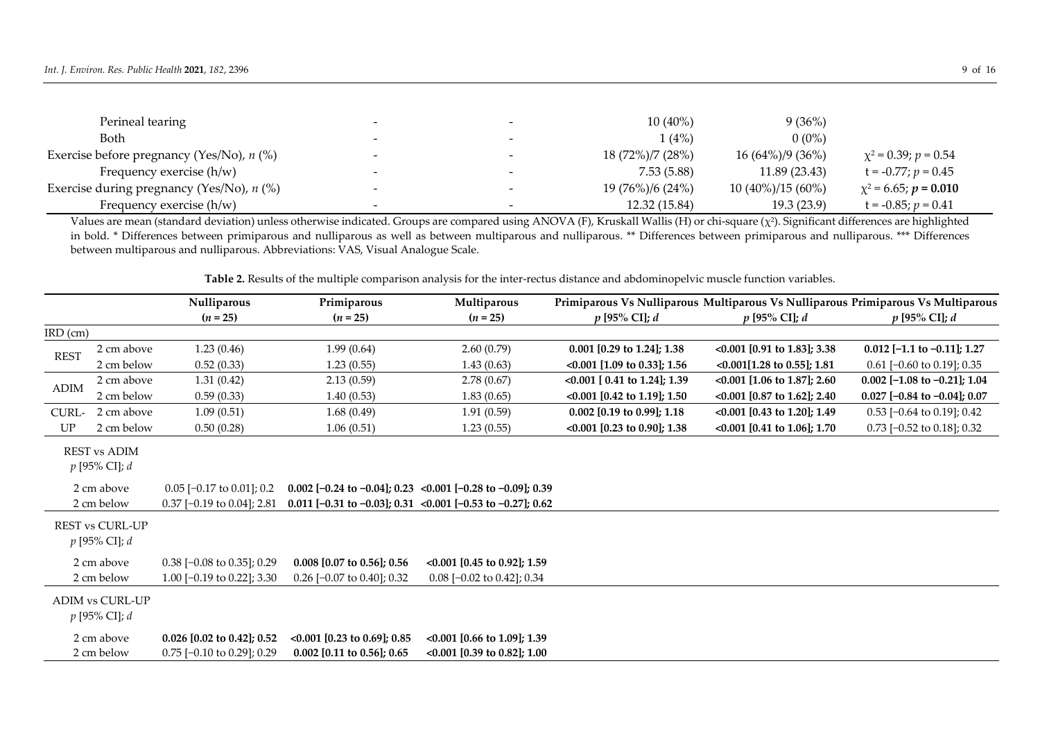| Perineal tearing                            |                          |                          | $10(40\%)$       | 9(36%)              |                            |
|---------------------------------------------|--------------------------|--------------------------|------------------|---------------------|----------------------------|
| Both                                        | $\overline{\phantom{0}}$ |                          | 1(4%)            | $0(0\%)$            |                            |
| Exercise before pregnancy (Yes/No), $n$ (%) |                          |                          | 18 (72%)/7 (28%) | $16(64\%)/9(36\%)$  | $\chi^2 = 0.39; p = 0.54$  |
| Frequency exercise $(h/w)$                  | $\overline{\phantom{0}}$ |                          | 7.53(5.88)       | 11.89 (23.43)       | $t = -0.77$ ; $p = 0.45$   |
| Exercise during pregnancy (Yes/No), $n$ (%) |                          |                          | 19 (76%)/6 (24%) | $10(40\%)/15(60\%)$ | $\chi^2$ = 6.65; p = 0.010 |
| Frequency exercise $(h/w)$                  | $\overline{\phantom{0}}$ | $\overline{\phantom{0}}$ | 12.32 (15.84)    | 19.3(23.9)          | $t = -0.85; p = 0.41$      |

Values are mean (standard deviation) unless otherwise indicated. Groups are compared using ANOVA (F), Kruskall Wallis (H) or chi-square (χ<sup>2</sup>). Significant differences are highlighted in bold. \* Differences between primiparous and nulliparous as well as between multiparous and nulliparous. \*\* Differences between primiparous and nulliparous. \*\*\* Differences between multiparous and nulliparous. Abbreviations: VAS, Visual Analogue Scale.

**Table 2.** Results of the multiple comparison analysis for the inter-rectus distance and abdominopelvic muscle function variables.

|             |                                           | Nulliparous                            | Primiparous                       | Multiparous                                                |                                    | Primiparous Vs Nulliparous Multiparous Vs Nulliparous Primiparous Vs Multiparous |                                |
|-------------|-------------------------------------------|----------------------------------------|-----------------------------------|------------------------------------------------------------|------------------------------------|----------------------------------------------------------------------------------|--------------------------------|
|             |                                           | $(n = 25)$                             | $(n = 25)$                        | $(n = 25)$                                                 | $p$ [95% CI]; $d$                  | $p$ [95% CI]; $d$                                                                | $p$ [95% CI]; $d$              |
| $IRD$ (cm)  |                                           |                                        |                                   |                                                            |                                    |                                                                                  |                                |
| <b>REST</b> | 2 cm above                                | 1.23(0.46)                             | 1.99(0.64)                        | 2.60(0.79)                                                 | $0.001$ [0.29 to 1.24]; 1.38       | $\leq 0.001$ [0.91 to 1.83]; 3.38                                                | $0.012$ [-1.1 to -0.11]; 1.27  |
|             | 2 cm below                                | 0.52(0.33)                             | 1.23(0.55)                        | 1.43(0.63)                                                 | $\leq 0.001$ [1.09 to 0.33]; 1.56  | $\leq 0.001[1.28 \text{ to } 0.55]; 1.81$                                        | $0.61$ [-0.60 to 0.19]; 0.35   |
| <b>ADIM</b> | 2 cm above                                | 1.31(0.42)                             | 2.13(0.59)                        | 2.78(0.67)                                                 | $\leq 0.001$ [ 0.41 to 1.24]; 1.39 | $\{0.001$ [1.06 to 1.87]; 2.60                                                   | $0.002$ [-1.08 to -0.21]; 1.04 |
|             | 2 cm below                                | 0.59(0.33)                             | 1.40(0.53)                        | 1.83(0.65)                                                 | $\leq 0.001$ [0.42 to 1.19]; 1.50  | <0.001 [0.87 to 1.62]; 2.40                                                      | $0.027$ [-0.84 to -0.04]; 0.07 |
| CURL-       | 2 cm above                                | 1.09(0.51)                             | 1.68(0.49)                        | 1.91(0.59)                                                 | $0.002$ [0.19 to 0.99]; 1.18       | $\leq 0.001$ [0.43 to 1.20]; 1.49                                                | $0.53$ [-0.64 to 0.19]; 0.42   |
| UP          | 2 cm below                                | 0.50(0.28)                             | 1.06(0.51)                        | 1.23(0.55)                                                 | $\leq 0.001$ [0.23 to 0.90]; 1.38  | $\leq 0.001$ [0.41 to 1.06]; 1.70                                                | $0.73$ [-0.52 to 0.18]; 0.32   |
|             | <b>REST vs ADIM</b><br>$p$ [95% CI]; $d$  |                                        |                                   |                                                            |                                    |                                                                                  |                                |
|             | 2 cm above                                | $0.05$ [-0.17 to 0.01]; 0.2            |                                   | 0.002 [-0.24 to -0.04]; 0.23 <0.001 [-0.28 to -0.09]; 0.39 |                                    |                                                                                  |                                |
|             | 2 cm below                                | $0.37$ [-0.19 to 0.04]; 2.81           |                                   | 0.011 [-0.31 to -0.03]; 0.31 <0.001 [-0.53 to -0.27]; 0.62 |                                    |                                                                                  |                                |
|             | <b>REST vs CURL-UP</b><br>$p$ [95% CI]; d |                                        |                                   |                                                            |                                    |                                                                                  |                                |
|             | 2 cm above                                | $0.38$ [-0.08 to 0.35]; 0.29           | $0.008$ [0.07 to 0.56]; 0.56      | $\leq 0.001$ [0.45 to 0.92]; 1.59                          |                                    |                                                                                  |                                |
|             | 2 cm below                                | 1.00 $[-0.19 \text{ to } 0.22]$ ; 3.30 | $0.26$ [-0.07 to 0.40]; 0.32      | $0.08$ [-0.02 to 0.42]; 0.34                               |                                    |                                                                                  |                                |
|             | <b>ADIM vs CURL-UP</b><br>p [95% CI]; d   |                                        |                                   |                                                            |                                    |                                                                                  |                                |
|             | 2 cm above                                | $0.026$ [0.02 to 0.42]; 0.52           | $\leq 0.001$ [0.23 to 0.69]; 0.85 | $\leq 0.001$ [0.66 to 1.09]; 1.39                          |                                    |                                                                                  |                                |
|             | 2 cm below                                | $0.75$ [-0.10 to 0.29]; 0.29           | $0.002$ [0.11 to 0.56]; 0.65      | <0.001 [0.39 to 0.82]; 1.00                                |                                    |                                                                                  |                                |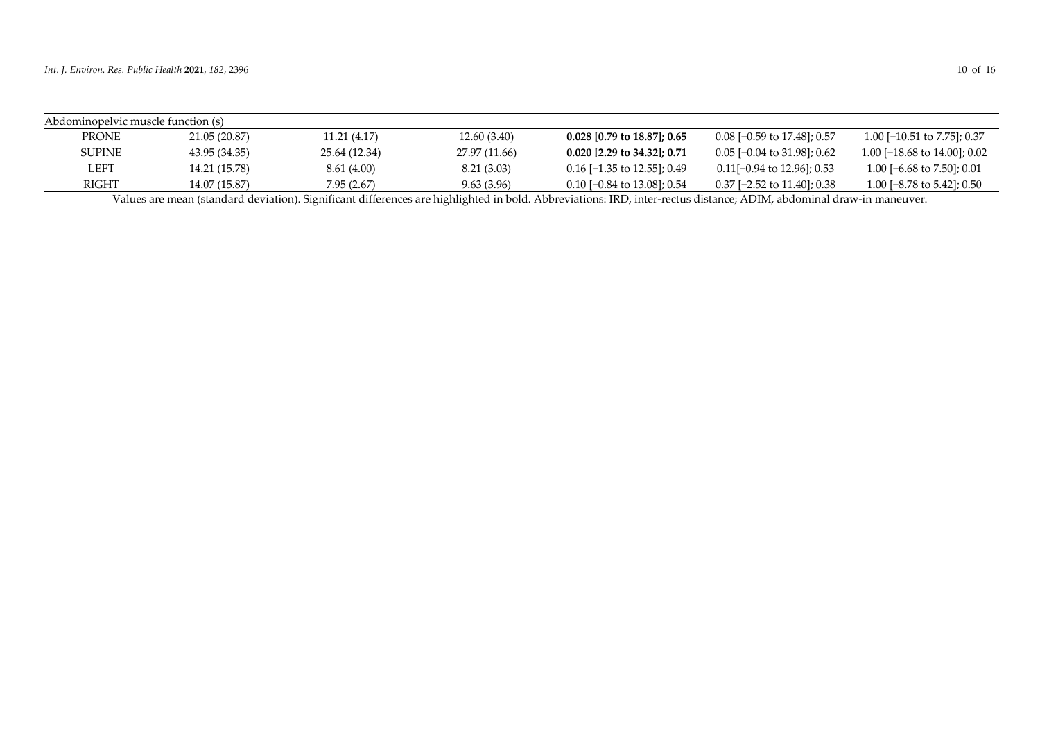| Abdominopelvic muscle function (s) |               |               |               |                               |                                        |                                 |  |
|------------------------------------|---------------|---------------|---------------|-------------------------------|----------------------------------------|---------------------------------|--|
| <b>PRONE</b>                       | 21.05 (20.87) | 11.21(4.17)   | 12.60(3.40)   | $0.028$ [0.79 to 18.87]; 0.65 | $0.08$ [-0.59 to 17.48]; 0.57          | 1.00 $[-10.51$ to 7.75]; 0.37   |  |
| SUPINE                             | 43.95 (34.35) | 25.64 (12.34) | 27.97 (11.66) | 0.020 [2.29 to 34.32]; 0.71   | $0.05$ [-0.04 to 31.98]; 0.62          | 1.00 [ $-18.68$ to 14.00]; 0.02 |  |
| LEFT                               | 14.21 (15.78) | 8.61 (4.00)   | 8.21(3.03)    | $0.16$ [-1.35 to 12.55]; 0.49 | $0.11[-0.94 \text{ to } 12.96]$ ; 0.53 | 1.00 [-6.68 to 7.50]; 0.01      |  |
| RIGHT                              | 14.07 (15.87) | 7.95 (2.67)   | 9.63 (3.96)   | 0.10 [-0.84 to 13.08]; 0.54   | 0.37 [-2.52 to 11.40]; 0.38            | 1.00 [ $-8.78$ to 5.42]; 0.50   |  |

Values are mean (standard deviation). Significant differences are highlighted in bold. Abbreviations: IRD, inter-rectus distance; ADIM, abdominal draw-in maneuver.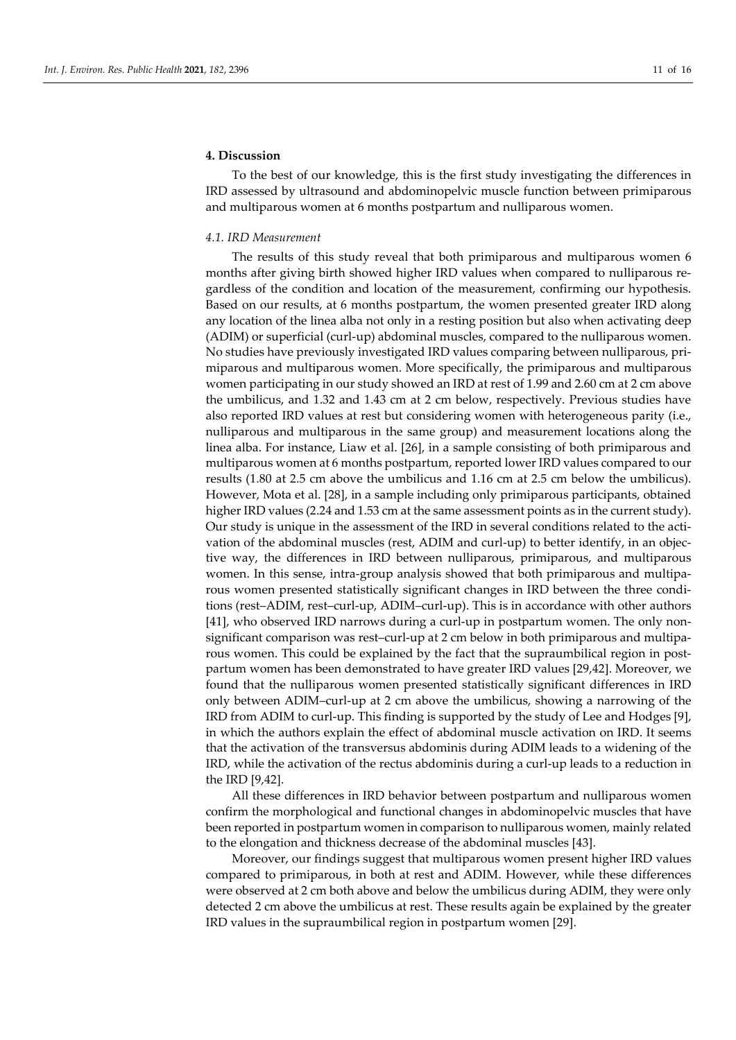# **4. Discussion**

To the best of our knowledge, this is the first study investigating the differences in IRD assessed by ultrasound and abdominopelvic muscle function between primiparous and multiparous women at 6 months postpartum and nulliparous women.

#### *4.1. IRD Measurement*

The results of this study reveal that both primiparous and multiparous women 6 months after giving birth showed higher IRD values when compared to nulliparous regardless of the condition and location of the measurement, confirming our hypothesis. Based on our results, at 6 months postpartum, the women presented greater IRD along any location of the linea alba not only in a resting position but also when activating deep (ADIM) or superficial (curl-up) abdominal muscles, compared to the nulliparous women. No studies have previously investigated IRD values comparing between nulliparous, primiparous and multiparous women. More specifically, the primiparous and multiparous women participating in our study showed an IRD at rest of 1.99 and 2.60 cm at 2 cm above the umbilicus, and 1.32 and 1.43 cm at 2 cm below, respectively. Previous studies have also reported IRD values at rest but considering women with heterogeneous parity (i.e., nulliparous and multiparous in the same group) and measurement locations along the linea alba. For instance, Liaw et al. [26], in a sample consisting of both primiparous and multiparous women at 6 months postpartum, reported lower IRD values compared to our results (1.80 at 2.5 cm above the umbilicus and 1.16 cm at 2.5 cm below the umbilicus). However, Mota et al. [28], in a sample including only primiparous participants, obtained higher IRD values (2.24 and 1.53 cm at the same assessment points as in the current study). Our study is unique in the assessment of the IRD in several conditions related to the activation of the abdominal muscles (rest, ADIM and curl-up) to better identify, in an objective way, the differences in IRD between nulliparous, primiparous, and multiparous women. In this sense, intra-group analysis showed that both primiparous and multiparous women presented statistically significant changes in IRD between the three conditions (rest–ADIM, rest–curl-up, ADIM–curl-up). This is in accordance with other authors [41], who observed IRD narrows during a curl-up in postpartum women. The only nonsignificant comparison was rest–curl-up at 2 cm below in both primiparous and multiparous women. This could be explained by the fact that the supraumbilical region in postpartum women has been demonstrated to have greater IRD values [29,42]. Moreover, we found that the nulliparous women presented statistically significant differences in IRD only between ADIM–curl-up at 2 cm above the umbilicus, showing a narrowing of the IRD from ADIM to curl-up. This finding is supported by the study of Lee and Hodges [9], in which the authors explain the effect of abdominal muscle activation on IRD. It seems that the activation of the transversus abdominis during ADIM leads to a widening of the IRD, while the activation of the rectus abdominis during a curl-up leads to a reduction in the IRD [9,42].

All these differences in IRD behavior between postpartum and nulliparous women confirm the morphological and functional changes in abdominopelvic muscles that have been reported in postpartum women in comparison to nulliparous women, mainly related to the elongation and thickness decrease of the abdominal muscles [43].

Moreover, our findings suggest that multiparous women present higher IRD values compared to primiparous, in both at rest and ADIM. However, while these differences were observed at 2 cm both above and below the umbilicus during ADIM, they were only detected 2 cm above the umbilicus at rest. These results again be explained by the greater IRD values in the supraumbilical region in postpartum women [29].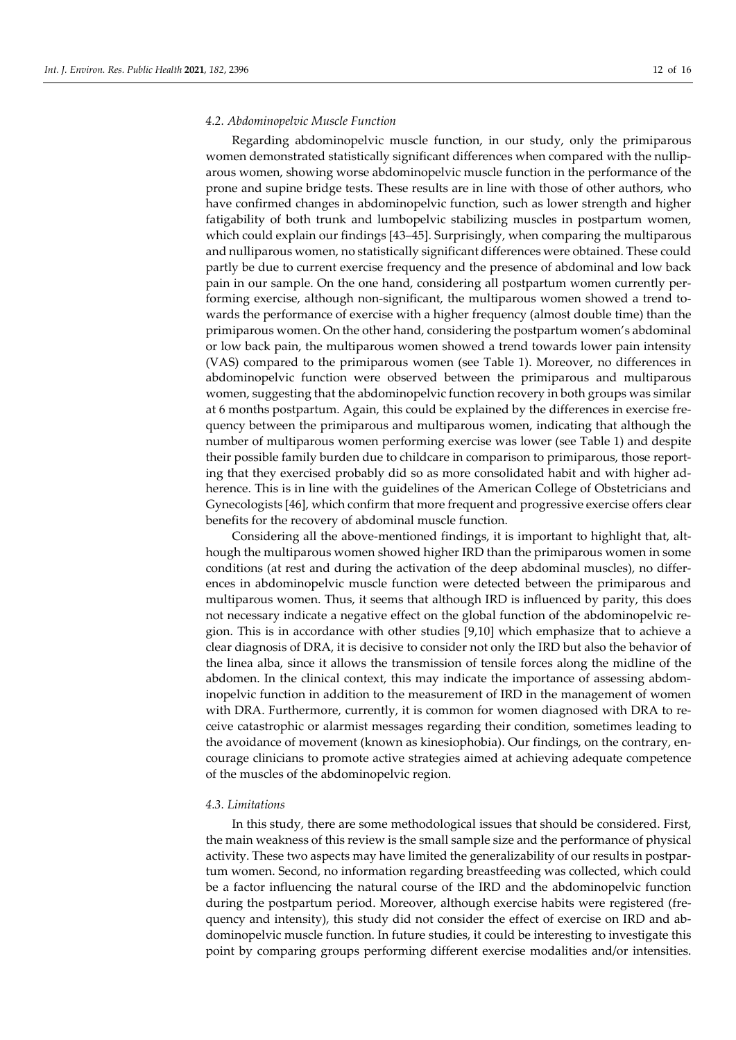#### *4.2. Abdominopelvic Muscle Function*

Regarding abdominopelvic muscle function, in our study, only the primiparous women demonstrated statistically significant differences when compared with the nulliparous women, showing worse abdominopelvic muscle function in the performance of the prone and supine bridge tests. These results are in line with those of other authors, who have confirmed changes in abdominopelvic function, such as lower strength and higher fatigability of both trunk and lumbopelvic stabilizing muscles in postpartum women, which could explain our findings [43–45]. Surprisingly, when comparing the multiparous and nulliparous women, no statistically significant differences were obtained. These could partly be due to current exercise frequency and the presence of abdominal and low back pain in our sample. On the one hand, considering all postpartum women currently performing exercise, although non-significant, the multiparous women showed a trend towards the performance of exercise with a higher frequency (almost double time) than the primiparous women. On the other hand, considering the postpartum women's abdominal or low back pain, the multiparous women showed a trend towards lower pain intensity (VAS) compared to the primiparous women (see Table 1). Moreover, no differences in abdominopelvic function were observed between the primiparous and multiparous women, suggesting that the abdominopelvic function recovery in both groups was similar at 6 months postpartum. Again, this could be explained by the differences in exercise frequency between the primiparous and multiparous women, indicating that although the number of multiparous women performing exercise was lower (see Table 1) and despite their possible family burden due to childcare in comparison to primiparous, those reporting that they exercised probably did so as more consolidated habit and with higher adherence. This is in line with the guidelines of the American College of Obstetricians and Gynecologists [46], which confirm that more frequent and progressive exercise offers clear benefits for the recovery of abdominal muscle function.

Considering all the above-mentioned findings, it is important to highlight that, although the multiparous women showed higher IRD than the primiparous women in some conditions (at rest and during the activation of the deep abdominal muscles), no differences in abdominopelvic muscle function were detected between the primiparous and multiparous women. Thus, it seems that although IRD is influenced by parity, this does not necessary indicate a negative effect on the global function of the abdominopelvic region. This is in accordance with other studies [9,10] which emphasize that to achieve a clear diagnosis of DRA, it is decisive to consider not only the IRD but also the behavior of the linea alba, since it allows the transmission of tensile forces along the midline of the abdomen. In the clinical context, this may indicate the importance of assessing abdominopelvic function in addition to the measurement of IRD in the management of women with DRA. Furthermore, currently, it is common for women diagnosed with DRA to receive catastrophic or alarmist messages regarding their condition, sometimes leading to the avoidance of movement (known as kinesiophobia). Our findings, on the contrary, encourage clinicians to promote active strategies aimed at achieving adequate competence of the muscles of the abdominopelvic region.

#### *4.3. Limitations*

In this study, there are some methodological issues that should be considered. First, the main weakness of this review is the small sample size and the performance of physical activity. These two aspects may have limited the generalizability of our results in postpartum women. Second, no information regarding breastfeeding was collected, which could be a factor influencing the natural course of the IRD and the abdominopelvic function during the postpartum period. Moreover, although exercise habits were registered (frequency and intensity), this study did not consider the effect of exercise on IRD and abdominopelvic muscle function. In future studies, it could be interesting to investigate this point by comparing groups performing different exercise modalities and/or intensities.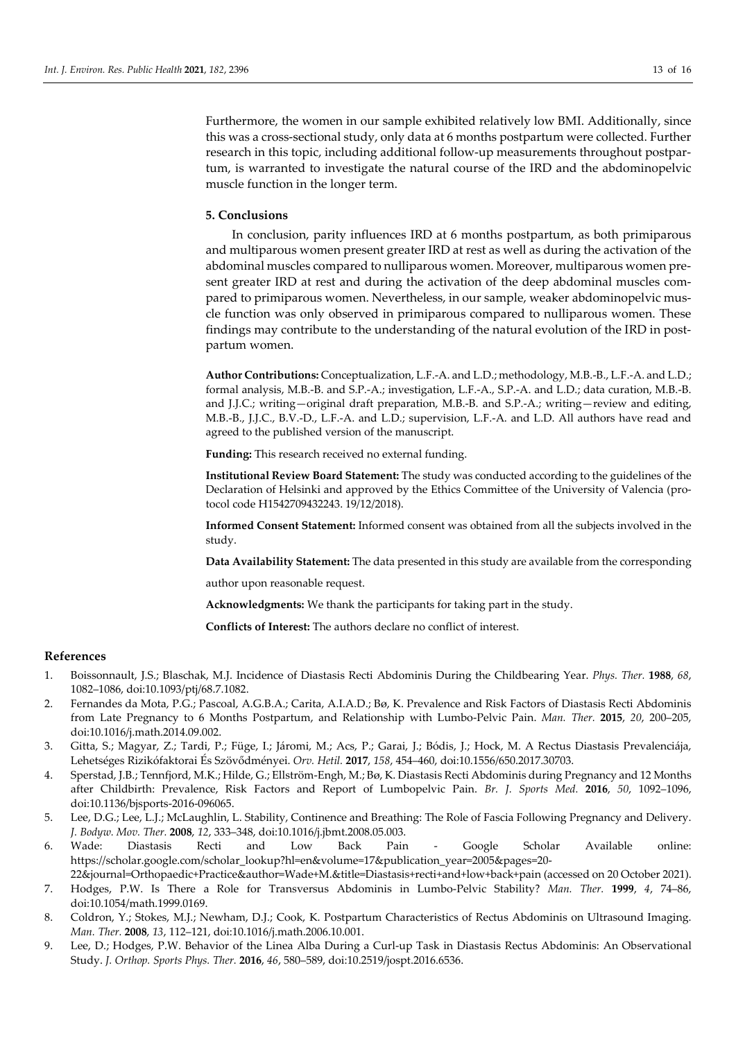Furthermore, the women in our sample exhibited relatively low BMI. Additionally, since this was a cross-sectional study, only data at 6 months postpartum were collected. Further research in this topic, including additional follow-up measurements throughout postpartum, is warranted to investigate the natural course of the IRD and the abdominopelvic muscle function in the longer term.

#### **5. Conclusions**

In conclusion, parity influences IRD at 6 months postpartum, as both primiparous and multiparous women present greater IRD at rest as well as during the activation of the abdominal muscles compared to nulliparous women. Moreover, multiparous women present greater IRD at rest and during the activation of the deep abdominal muscles compared to primiparous women. Nevertheless, in our sample, weaker abdominopelvic muscle function was only observed in primiparous compared to nulliparous women. These findings may contribute to the understanding of the natural evolution of the IRD in postpartum women.

**Author Contributions:** Conceptualization, L.F.-A. and L.D.; methodology, M.B.-B., L.F.-A. and L.D.; formal analysis, M.B.-B. and S.P.-A.; investigation, L.F.-A., S.P.-A. and L.D.; data curation, M.B.-B. and J.J.C.; writing—original draft preparation, M.B.-B. and S.P.-A.; writing—review and editing, M.B.-B., J.J.C., B.V.-D., L.F.-A. and L.D.; supervision, L.F.-A. and L.D. All authors have read and agreed to the published version of the manuscript.

**Funding:** This research received no external funding.

**Institutional Review Board Statement:** The study was conducted according to the guidelines of the Declaration of Helsinki and approved by the Ethics Committee of the University of Valencia (protocol code H1542709432243. 19/12/2018).

**Informed Consent Statement:** Informed consent was obtained from all the subjects involved in the study.

**Data Availability Statement:** The data presented in this study are available from the corresponding

author upon reasonable request.

**Acknowledgments:** We thank the participants for taking part in the study.

**Conflicts of Interest:** The authors declare no conflict of interest.

#### **References**

- 1. Boissonnault, J.S.; Blaschak, M.J. Incidence of Diastasis Recti Abdominis During the Childbearing Year. *Phys. Ther.* **1988**, *68*, 1082–1086, doi:10.1093/ptj/68.7.1082.
- 2. Fernandes da Mota, P.G.; Pascoal, A.G.B.A.; Carita, A.I.A.D.; Bø, K. Prevalence and Risk Factors of Diastasis Recti Abdominis from Late Pregnancy to 6 Months Postpartum, and Relationship with Lumbo-Pelvic Pain. *Man. Ther.* **2015**, *20*, 200–205, doi:10.1016/j.math.2014.09.002.
- 3. Gitta, S.; Magyar, Z.; Tardi, P.; Füge, I.; Járomi, M.; Acs, P.; Garai, J.; Bódis, J.; Hock, M. A Rectus Diastasis Prevalenciája, Lehetséges Rizikófaktorai És Szövődményei. *Orv. Hetil.* **2017**, *158*, 454–460, doi:10.1556/650.2017.30703.
- 4. Sperstad, J.B.; Tennfjord, M.K.; Hilde, G.; Ellström-Engh, M.; Bø, K. Diastasis Recti Abdominis during Pregnancy and 12 Months after Childbirth: Prevalence, Risk Factors and Report of Lumbopelvic Pain. *Br. J. Sports Med.* **2016**, *50*, 1092–1096, doi:10.1136/bjsports-2016-096065.
- 5. Lee, D.G.; Lee, L.J.; McLaughlin, L. Stability, Continence and Breathing: The Role of Fascia Following Pregnancy and Delivery. *J. Bodyw. Mov. Ther.* **2008**, *12*, 333–348, doi:10.1016/j.jbmt.2008.05.003.
- 6. Wade: Diastasis Recti and Low Back Pain Google Scholar Available online: https://scholar.google.com/scholar\_lookup?hl=en&volume=17&publication\_year=2005&pages=20-
- 22&journal=Orthopaedic+Practice&author=Wade+M.&title=Diastasis+recti+and+low+back+pain (accessed on 20 October 2021). 7. Hodges, P.W. Is There a Role for Transversus Abdominis in Lumbo-Pelvic Stability? *Man. Ther.* **1999**, *4*, 74–86, doi:10.1054/math.1999.0169.
- 8. Coldron, Y.; Stokes, M.J.; Newham, D.J.; Cook, K. Postpartum Characteristics of Rectus Abdominis on Ultrasound Imaging. *Man. Ther.* **2008**, *13*, 112–121, doi:10.1016/j.math.2006.10.001.
- 9. Lee, D.; Hodges, P.W. Behavior of the Linea Alba During a Curl-up Task in Diastasis Rectus Abdominis: An Observational Study. *J. Orthop. Sports Phys. Ther.* **2016**, *46*, 580–589, doi:10.2519/jospt.2016.6536.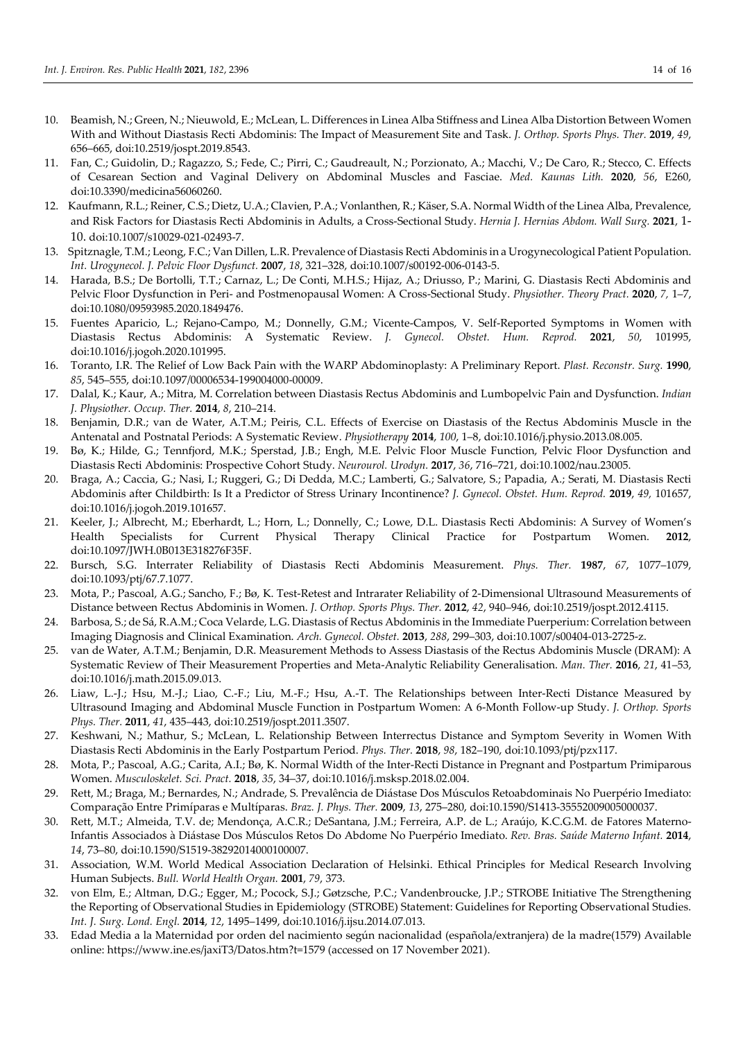- 10. Beamish, N.; Green, N.; Nieuwold, E.; McLean, L. Differences in Linea Alba Stiffness and Linea Alba Distortion Between Women With and Without Diastasis Recti Abdominis: The Impact of Measurement Site and Task. *J. Orthop. Sports Phys. Ther.* **2019**, *49*, 656–665, doi:10.2519/jospt.2019.8543.
- 11. Fan, C.; Guidolin, D.; Ragazzo, S.; Fede, C.; Pirri, C.; Gaudreault, N.; Porzionato, A.; Macchi, V.; De Caro, R.; Stecco, C. Effects of Cesarean Section and Vaginal Delivery on Abdominal Muscles and Fasciae. *Med. Kaunas Lith.* **2020**, *56*, E260, doi:10.3390/medicina56060260.
- 12. Kaufmann, R.L.; Reiner, C.S.; Dietz, U.A.; Clavien, P.A.; Vonlanthen, R.; Käser, S.A. Normal Width of the Linea Alba, Prevalence, and Risk Factors for Diastasis Recti Abdominis in Adults, a Cross-Sectional Study. *Hernia J. Hernias Abdom. Wall Surg.* **2021**, 1- 10. doi:10.1007/s10029-021-02493-7.
- 13. Spitznagle, T.M.; Leong, F.C.; Van Dillen, L.R. Prevalence of Diastasis Recti Abdominis in a Urogynecological Patient Population. *Int. Urogynecol. J. Pelvic Floor Dysfunct.* **2007**, *18*, 321–328, doi:10.1007/s00192-006-0143-5.
- 14. Harada, B.S.; De Bortolli, T.T.; Carnaz, L.; De Conti, M.H.S.; Hijaz, A.; Driusso, P.; Marini, G. Diastasis Recti Abdominis and Pelvic Floor Dysfunction in Peri- and Postmenopausal Women: A Cross-Sectional Study. *Physiother. Theory Pract.* **2020**, *7,* 1–7, doi:10.1080/09593985.2020.1849476.
- 15. Fuentes Aparicio, L.; Rejano-Campo, M.; Donnelly, G.M.; Vicente-Campos, V. Self-Reported Symptoms in Women with Diastasis Rectus Abdominis: A Systematic Review. *J. Gynecol. Obstet. Hum. Reprod.* **2021**, *50*, 101995, doi:10.1016/j.jogoh.2020.101995.
- 16. Toranto, I.R. The Relief of Low Back Pain with the WARP Abdominoplasty: A Preliminary Report. *Plast. Reconstr. Surg.* **1990**, *85*, 545–555, doi:10.1097/00006534-199004000-00009.
- 17. Dalal, K.; Kaur, A.; Mitra, M. Correlation between Diastasis Rectus Abdominis and Lumbopelvic Pain and Dysfunction. *Indian J. Physiother. Occup. Ther.* **2014**, *8*, 210–214.
- 18. Benjamin, D.R.; van de Water, A.T.M.; Peiris, C.L. Effects of Exercise on Diastasis of the Rectus Abdominis Muscle in the Antenatal and Postnatal Periods: A Systematic Review. *Physiotherapy* **2014**, *100*, 1–8, doi:10.1016/j.physio.2013.08.005.
- 19. Bø, K.; Hilde, G.; Tennfjord, M.K.; Sperstad, J.B.; Engh, M.E. Pelvic Floor Muscle Function, Pelvic Floor Dysfunction and Diastasis Recti Abdominis: Prospective Cohort Study. *Neurourol. Urodyn.* **2017**, *36*, 716–721, doi:10.1002/nau.23005.
- 20. Braga, A.; Caccia, G.; Nasi, I.; Ruggeri, G.; Di Dedda, M.C.; Lamberti, G.; Salvatore, S.; Papadia, A.; Serati, M. Diastasis Recti Abdominis after Childbirth: Is It a Predictor of Stress Urinary Incontinence? *J. Gynecol. Obstet. Hum. Reprod.* **2019**, *49,* 101657, doi:10.1016/j.jogoh.2019.101657.
- 21. Keeler, J.; Albrecht, M.; Eberhardt, L.; Horn, L.; Donnelly, C.; Lowe, D.L. Diastasis Recti Abdominis: A Survey of Women's Health Specialists for Current Physical Therapy Clinical Practice for Postpartum Women. **2012**, doi:10.1097/JWH.0B013E318276F35F.
- 22. Bursch, S.G. Interrater Reliability of Diastasis Recti Abdominis Measurement. *Phys. Ther.* **1987**, *67*, 1077–1079, doi:10.1093/ptj/67.7.1077.
- 23. Mota, P.; Pascoal, A.G.; Sancho, F.; Bø, K. Test-Retest and Intrarater Reliability of 2-Dimensional Ultrasound Measurements of Distance between Rectus Abdominis in Women. *J. Orthop. Sports Phys. Ther.* **2012**, *42*, 940–946, doi:10.2519/jospt.2012.4115.
- 24. Barbosa, S.; de Sá, R.A.M.; Coca Velarde, L.G. Diastasis of Rectus Abdominis in the Immediate Puerperium: Correlation between Imaging Diagnosis and Clinical Examination. *Arch. Gynecol. Obstet.* **2013**, *288*, 299–303, doi:10.1007/s00404-013-2725-z.
- 25. van de Water, A.T.M.; Benjamin, D.R. Measurement Methods to Assess Diastasis of the Rectus Abdominis Muscle (DRAM): A Systematic Review of Their Measurement Properties and Meta-Analytic Reliability Generalisation. *Man. Ther.* **2016**, *21*, 41–53, doi:10.1016/j.math.2015.09.013.
- 26. Liaw, L.-J.; Hsu, M.-J.; Liao, C.-F.; Liu, M.-F.; Hsu, A.-T. The Relationships between Inter-Recti Distance Measured by Ultrasound Imaging and Abdominal Muscle Function in Postpartum Women: A 6-Month Follow-up Study. *J. Orthop. Sports Phys. Ther.* **2011**, *41*, 435–443, doi:10.2519/jospt.2011.3507.
- 27. Keshwani, N.; Mathur, S.; McLean, L. Relationship Between Interrectus Distance and Symptom Severity in Women With Diastasis Recti Abdominis in the Early Postpartum Period. *Phys. Ther.* **2018**, *98*, 182–190, doi:10.1093/ptj/pzx117.
- 28. Mota, P.; Pascoal, A.G.; Carita, A.I.; Bø, K. Normal Width of the Inter-Recti Distance in Pregnant and Postpartum Primiparous Women. *Musculoskelet. Sci. Pract.* **2018**, *35*, 34–37, doi:10.1016/j.msksp.2018.02.004.
- 29. Rett, M.; Braga, M.; Bernardes, N.; Andrade, S. Prevalência de Diástase Dos Músculos Retoabdominais No Puerpério Imediato: Comparação Entre Primíparas e Multíparas. *Braz. J. Phys. Ther.* **2009**, *13*, 275–280, doi:10.1590/S1413-35552009005000037.
- 30. Rett, M.T.; Almeida, T.V. de; Mendonça, A.C.R.; DeSantana, J.M.; Ferreira, A.P. de L.; Araújo, K.C.G.M. de Fatores Materno-Infantis Associados à Diástase Dos Músculos Retos Do Abdome No Puerpério Imediato. *Rev. Bras. Saúde Materno Infant.* **2014**, *14*, 73–80, doi:10.1590/S1519-38292014000100007.
- 31. Association, W.M. World Medical Association Declaration of Helsinki. Ethical Principles for Medical Research Involving Human Subjects. *Bull. World Health Organ.* **2001**, *79*, 373.
- 32. von Elm, E.; Altman, D.G.; Egger, M.; Pocock, S.J.; Gøtzsche, P.C.; Vandenbroucke, J.P.; STROBE Initiative The Strengthening the Reporting of Observational Studies in Epidemiology (STROBE) Statement: Guidelines for Reporting Observational Studies. *Int. J. Surg. Lond. Engl.* **2014**, *12*, 1495–1499, doi:10.1016/j.ijsu.2014.07.013.
- 33. Edad Media a la Maternidad por orden del nacimiento según nacionalidad (española/extranjera) de la madre(1579) Available online: https://www.ine.es/jaxiT3/Datos.htm?t=1579 (accessed on 17 November 2021).